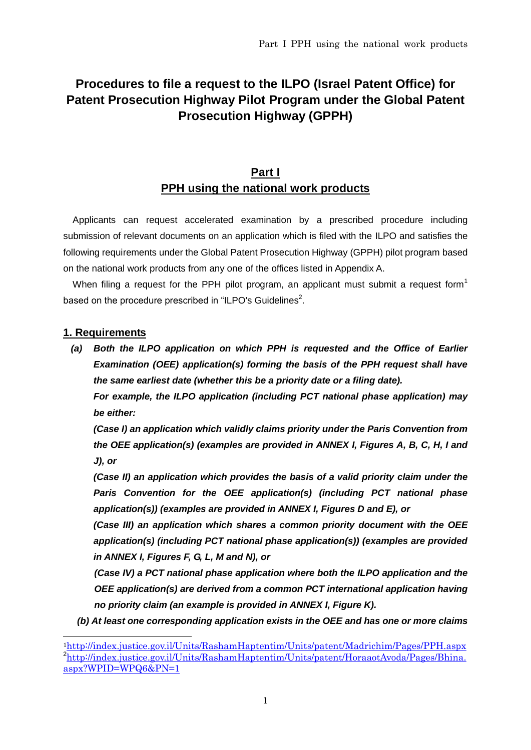## **Procedures to file a request to the ILPO (Israel Patent Office) for Patent Prosecution Highway Pilot Program under the Global Patent Prosecution Highway (GPPH)**

## **Part I PPH using the national work products**

Applicants can request accelerated examination by a prescribed procedure including submission of relevant documents on an application which is filed with the ILPO and satisfies the following requirements under the Global Patent Prosecution Highway (GPPH) pilot program based on the national work products from any one of the offices listed in Appendix A.

When filing a request for the PPH pilot program, an applicant must submit a request form<sup>1</sup> based on the procedure prescribed in "ILPO's Guidelines<sup>2</sup>.

#### **1. Requirements**

*(a) Both the ILPO application on which PPH is requested and the Office of Earlier Examination (OEE) application(s) forming the basis of the PPH request shall have the same earliest date (whether this be a priority date or a filing date).*

*For example, the ILPO application (including PCT national phase application) may be either:* 

*(Case I) an application which validly claims priority under the Paris Convention from the OEE application(s) (examples are provided in ANNEX I, Figures A, B, C, H, I and J), or*

*(Case II) an application which provides the basis of a valid priority claim under the Paris Convention for the OEE application(s) (including PCT national phase application(s)) (examples are provided in ANNEX I, Figures D and E), or*

*(Case III) an application which shares a common priority document with the OEE application(s) (including PCT national phase application(s)) (examples are provided in ANNEX I, Figures F, G, L, M and N), or*

*(Case IV) a PCT national phase application where both the ILPO application and the OEE application(s) are derived from a common PCT international application having no priority claim (an example is provided in ANNEX I, Figure K).*

*(b) At least one corresponding application exists in the OEE and has one or more claims* 

<sup>1</sup><http://index.justice.gov.il/Units/RashamHaptentim/Units/patent/Madrichim/Pages/PPH.aspx> <sup>2</sup>[http://index.justice.gov.il/Units/RashamHaptentim/Units/patent/HoraaotAvoda/Pages/Bhina.](http://index.justice.gov.il/Units/RashamHaptentim/Units/patent/HoraaotAvoda/Pages/Bhina.aspx?WPID=WPQ6&PN=1) [aspx?WPID=WPQ6&PN=1](http://index.justice.gov.il/Units/RashamHaptentim/Units/patent/HoraaotAvoda/Pages/Bhina.aspx?WPID=WPQ6&PN=1)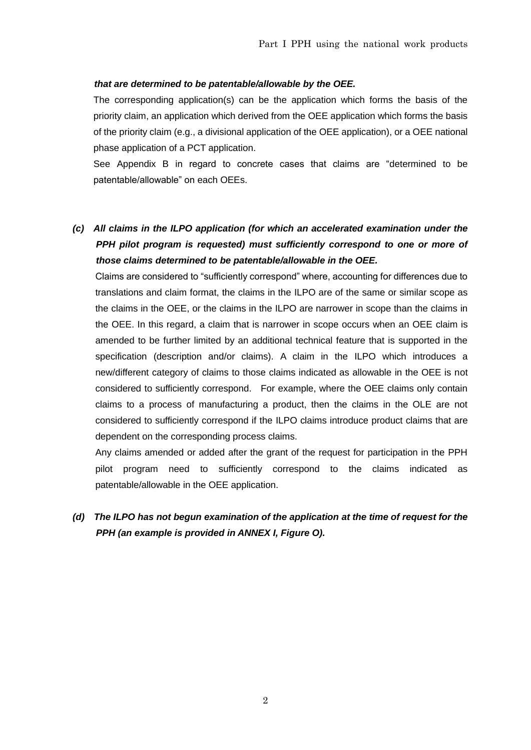#### *that are determined to be patentable/allowable by the OEE.*

The corresponding application(s) can be the application which forms the basis of the priority claim, an application which derived from the OEE application which forms the basis of the priority claim (e.g., a divisional application of the OEE application), or a OEE national phase application of a PCT application.

See Appendix B in regard to concrete cases that claims are "determined to be patentable/allowable" on each OEEs.

*(c) All claims in the ILPO application (for which an accelerated examination under the PPH pilot program is requested) must sufficiently correspond to one or more of those claims determined to be patentable/allowable in the OEE.*

Claims are considered to "sufficiently correspond" where, accounting for differences due to translations and claim format, the claims in the ILPO are of the same or similar scope as the claims in the OEE, or the claims in the ILPO are narrower in scope than the claims in the OEE. In this regard, a claim that is narrower in scope occurs when an OEE claim is amended to be further limited by an additional technical feature that is supported in the specification (description and/or claims). A claim in the ILPO which introduces a new/different category of claims to those claims indicated as allowable in the OEE is not considered to sufficiently correspond. For example, where the OEE claims only contain claims to a process of manufacturing a product, then the claims in the OLE are not considered to sufficiently correspond if the ILPO claims introduce product claims that are dependent on the corresponding process claims.

Any claims amended or added after the grant of the request for participation in the PPH pilot program need to sufficiently correspond to the claims indicated as patentable/allowable in the OEE application.

*(d) The ILPO has not begun examination of the application at the time of request for the PPH (an example is provided in ANNEX I, Figure O).*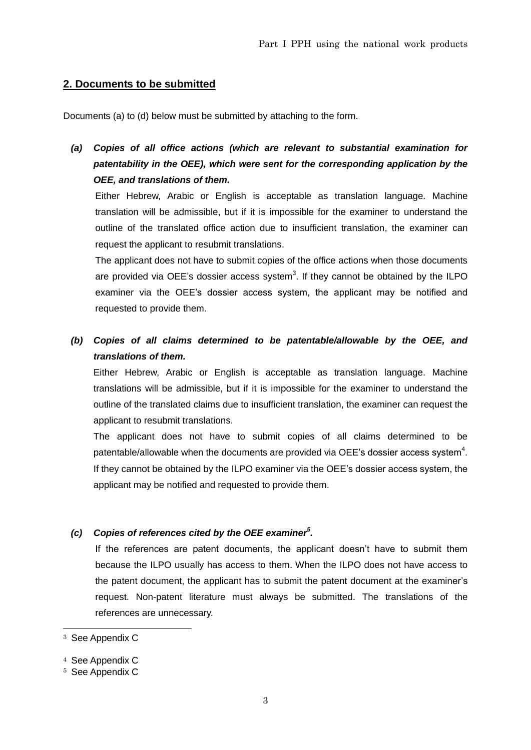### **2. Documents to be submitted**

Documents (a) to (d) below must be submitted by attaching to the form.

*(a) Copies of all office actions (which are relevant to substantial examination for patentability in the OEE), which were sent for the corresponding application by the OEE, and translations of them.*

Either Hebrew, Arabic or English is acceptable as translation language. Machine translation will be admissible, but if it is impossible for the examiner to understand the outline of the translated office action due to insufficient translation, the examiner can request the applicant to resubmit translations.

The applicant does not have to submit copies of the office actions when those documents are provided via OEE's dossier access system $3$ . If they cannot be obtained by the ILPO examiner via the OEE's dossier access system, the applicant may be notified and requested to provide them.

*(b) Copies of all claims determined to be patentable/allowable by the OEE, and translations of them.*

Either Hebrew, Arabic or English is acceptable as translation language. Machine translations will be admissible, but if it is impossible for the examiner to understand the outline of the translated claims due to insufficient translation, the examiner can request the applicant to resubmit translations.

The applicant does not have to submit copies of all claims determined to be patentable/allowable when the documents are provided via OEE's dossier access system<sup>4</sup>. If they cannot be obtained by the ILPO examiner via the OEE's dossier access system, the applicant may be notified and requested to provide them.

#### *(c) Copies of references cited by the OEE examiner<sup>5</sup> .*

If the references are patent documents, the applicant doesn't have to submit them because the ILPO usually has access to them. When the ILPO does not have access to the patent document, the applicant has to submit the patent document at the examiner's request. Non-patent literature must always be submitted. The translations of the references are unnecessary.

<sup>3</sup> See Appendix C

<sup>4</sup> See Appendix C

<sup>5</sup> See Appendix C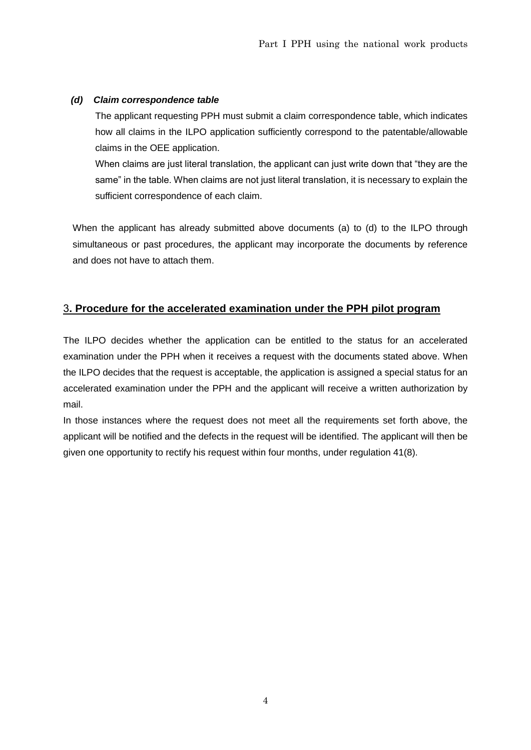#### *(d) Claim correspondence table*

The applicant requesting PPH must submit a claim correspondence table, which indicates how all claims in the ILPO application sufficiently correspond to the patentable/allowable claims in the OEE application.

When claims are just literal translation, the applicant can just write down that "they are the same" in the table. When claims are not just literal translation, it is necessary to explain the sufficient correspondence of each claim.

When the applicant has already submitted above documents (a) to (d) to the ILPO through simultaneous or past procedures, the applicant may incorporate the documents by reference and does not have to attach them.

### 3**. Procedure for the accelerated examination under the PPH pilot program**

The ILPO decides whether the application can be entitled to the status for an accelerated examination under the PPH when it receives a request with the documents stated above. When the ILPO decides that the request is acceptable, the application is assigned a special status for an accelerated examination under the PPH and the applicant will receive a written authorization by mail.

In those instances where the request does not meet all the requirements set forth above, the applicant will be notified and the defects in the request will be identified. The applicant will then be given one opportunity to rectify his request within four months, under regulation 41(8).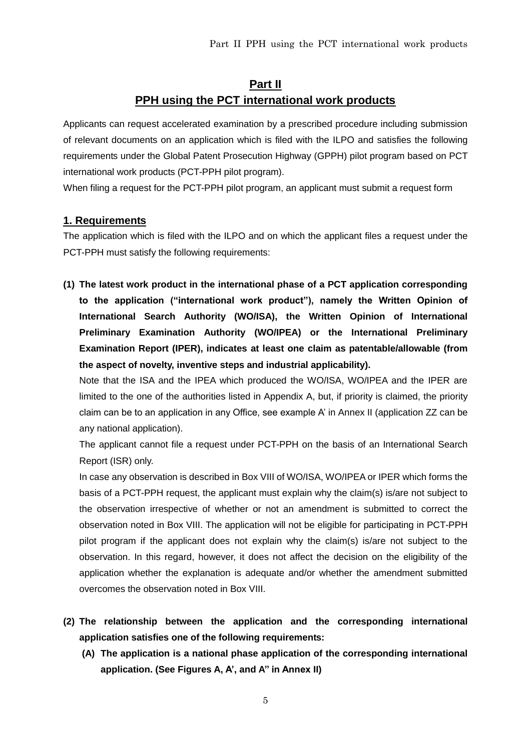## **Part II PPH using the PCT international work products**

Applicants can request accelerated examination by a prescribed procedure including submission of relevant documents on an application which is filed with the ILPO and satisfies the following requirements under the Global Patent Prosecution Highway (GPPH) pilot program based on PCT international work products (PCT-PPH pilot program).

When filing a request for the PCT-PPH pilot program, an applicant must submit a request form

#### **1. Requirements**

The application which is filed with the ILPO and on which the applicant files a request under the PCT-PPH must satisfy the following requirements:

**(1) The latest work product in the international phase of a PCT application corresponding to the application ("international work product"), namely the Written Opinion of International Search Authority (WO/ISA), the Written Opinion of International Preliminary Examination Authority (WO/IPEA) or the International Preliminary Examination Report (IPER), indicates at least one claim as patentable/allowable (from the aspect of novelty, inventive steps and industrial applicability).** 

Note that the ISA and the IPEA which produced the WO/ISA, WO/IPEA and the IPER are limited to the one of the authorities listed in Appendix A, but, if priority is claimed, the priority claim can be to an application in any Office, see example A' in Annex II (application ZZ can be any national application).

The applicant cannot file a request under PCT-PPH on the basis of an International Search Report (ISR) only.

In case any observation is described in Box VIII of WO/ISA, WO/IPEA or IPER which forms the basis of a PCT-PPH request, the applicant must explain why the claim(s) is/are not subject to the observation irrespective of whether or not an amendment is submitted to correct the observation noted in Box VIII. The application will not be eligible for participating in PCT-PPH pilot program if the applicant does not explain why the claim(s) is/are not subject to the observation. In this regard, however, it does not affect the decision on the eligibility of the application whether the explanation is adequate and/or whether the amendment submitted overcomes the observation noted in Box VIII.

- **(2) The relationship between the application and the corresponding international application satisfies one of the following requirements:** 
	- **(A) The application is a national phase application of the corresponding international application. (See Figures A, A', and A'' in Annex II)**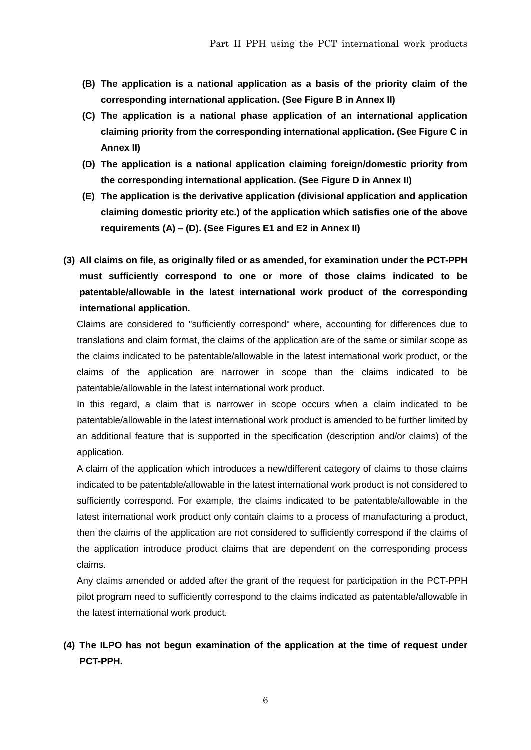- **(B) The application is a national application as a basis of the priority claim of the corresponding international application. (See Figure B in Annex II)**
- **(C) The application is a national phase application of an international application claiming priority from the corresponding international application. (See Figure C in Annex II)**
- **(D) The application is a national application claiming foreign/domestic priority from the corresponding international application. (See Figure D in Annex II)**
- **(E) The application is the derivative application (divisional application and application claiming domestic priority etc.) of the application which satisfies one of the above requirements (A) – (D). (See Figures E1 and E2 in Annex II)**
- **(3) All claims on file, as originally filed or as amended, for examination under the PCT-PPH must sufficiently correspond to one or more of those claims indicated to be patentable/allowable in the latest international work product of the corresponding international application.**

Claims are considered to "sufficiently correspond" where, accounting for differences due to translations and claim format, the claims of the application are of the same or similar scope as the claims indicated to be patentable/allowable in the latest international work product, or the claims of the application are narrower in scope than the claims indicated to be patentable/allowable in the latest international work product.

In this regard, a claim that is narrower in scope occurs when a claim indicated to be patentable/allowable in the latest international work product is amended to be further limited by an additional feature that is supported in the specification (description and/or claims) of the application.

A claim of the application which introduces a new/different category of claims to those claims indicated to be patentable/allowable in the latest international work product is not considered to sufficiently correspond. For example, the claims indicated to be patentable/allowable in the latest international work product only contain claims to a process of manufacturing a product, then the claims of the application are not considered to sufficiently correspond if the claims of the application introduce product claims that are dependent on the corresponding process claims.

Any claims amended or added after the grant of the request for participation in the PCT-PPH pilot program need to sufficiently correspond to the claims indicated as patentable/allowable in the latest international work product.

## **(4) The ILPO has not begun examination of the application at the time of request under PCT-PPH.**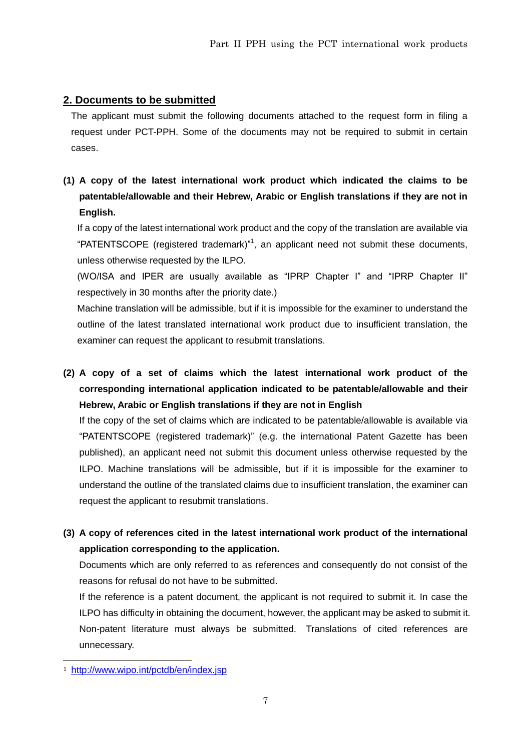### **2. Documents to be submitted**

The applicant must submit the following documents attached to the request form in filing a request under PCT-PPH. Some of the documents may not be required to submit in certain cases.

## **(1) A copy of the latest international work product which indicated the claims to be patentable/allowable and their Hebrew, Arabic or English translations if they are not in English.**

If a copy of the latest international work product and the copy of the translation are available via "PATENTSCOPE (registered trademark)"<sup>1</sup>, an applicant need not submit these documents, unless otherwise requested by the ILPO.

(WO/ISA and IPER are usually available as "IPRP Chapter I" and "IPRP Chapter II" respectively in 30 months after the priority date.)

Machine translation will be admissible, but if it is impossible for the examiner to understand the outline of the latest translated international work product due to insufficient translation, the examiner can request the applicant to resubmit translations.

**(2) A copy of a set of claims which the latest international work product of the corresponding international application indicated to be patentable/allowable and their Hebrew, Arabic or English translations if they are not in English**

If the copy of the set of claims which are indicated to be patentable/allowable is available via "PATENTSCOPE (registered trademark)" (e.g. the international Patent Gazette has been published), an applicant need not submit this document unless otherwise requested by the ILPO. Machine translations will be admissible, but if it is impossible for the examiner to understand the outline of the translated claims due to insufficient translation, the examiner can request the applicant to resubmit translations.

**(3) A copy of references cited in the latest international work product of the international application corresponding to the application.**

Documents which are only referred to as references and consequently do not consist of the reasons for refusal do not have to be submitted.

If the reference is a patent document, the applicant is not required to submit it. In case the ILPO has difficulty in obtaining the document, however, the applicant may be asked to submit it. Non-patent literature must always be submitted. Translations of cited references are unnecessary.

 $\overline{a}$ 

<sup>1</sup> <http://www.wipo.int/pctdb/en/index.jsp>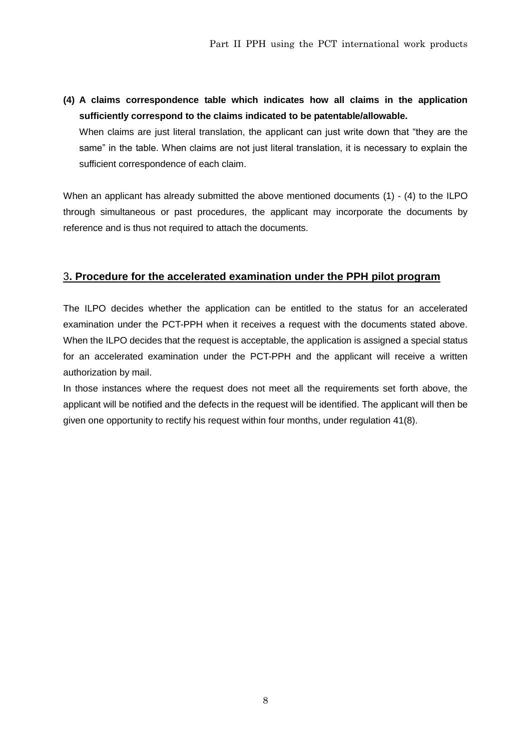**(4) A claims correspondence table which indicates how all claims in the application sufficiently correspond to the claims indicated to be patentable/allowable.**

When claims are just literal translation, the applicant can just write down that "they are the same" in the table. When claims are not just literal translation, it is necessary to explain the sufficient correspondence of each claim.

When an applicant has already submitted the above mentioned documents (1) - (4) to the ILPO through simultaneous or past procedures, the applicant may incorporate the documents by reference and is thus not required to attach the documents.

#### 3**. Procedure for the accelerated examination under the PPH pilot program**

The ILPO decides whether the application can be entitled to the status for an accelerated examination under the PCT-PPH when it receives a request with the documents stated above. When the ILPO decides that the request is acceptable, the application is assigned a special status for an accelerated examination under the PCT-PPH and the applicant will receive a written authorization by mail.

In those instances where the request does not meet all the requirements set forth above, the applicant will be notified and the defects in the request will be identified. The applicant will then be given one opportunity to rectify his request within four months, under regulation 41(8).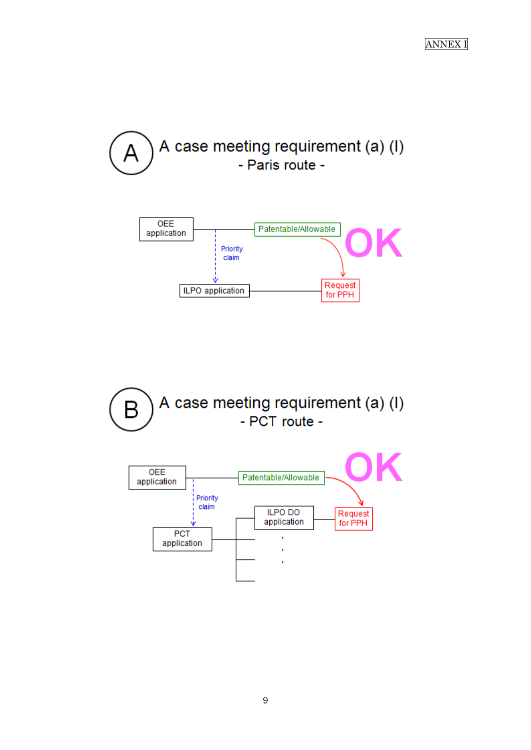





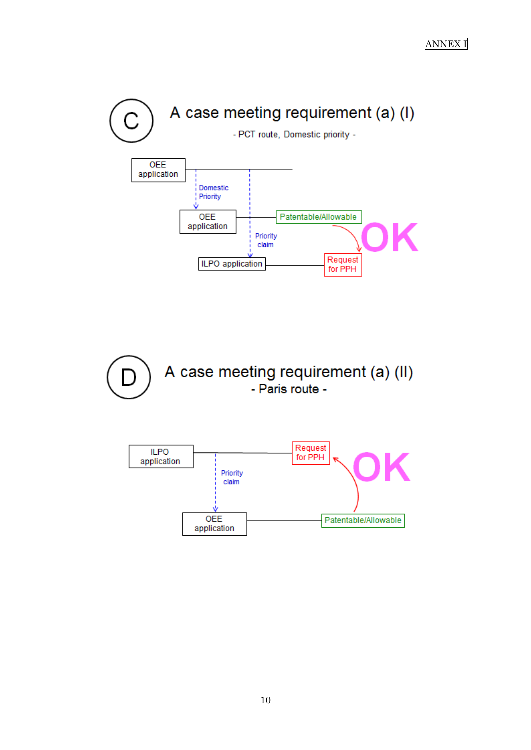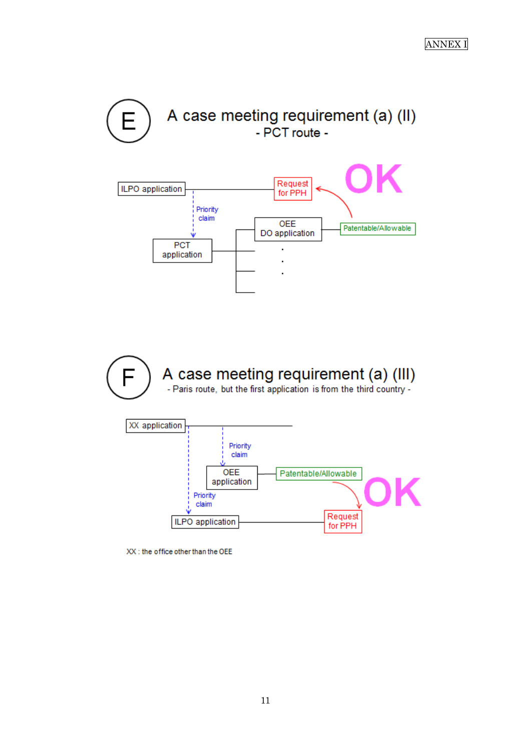

XX : the office other than the OEE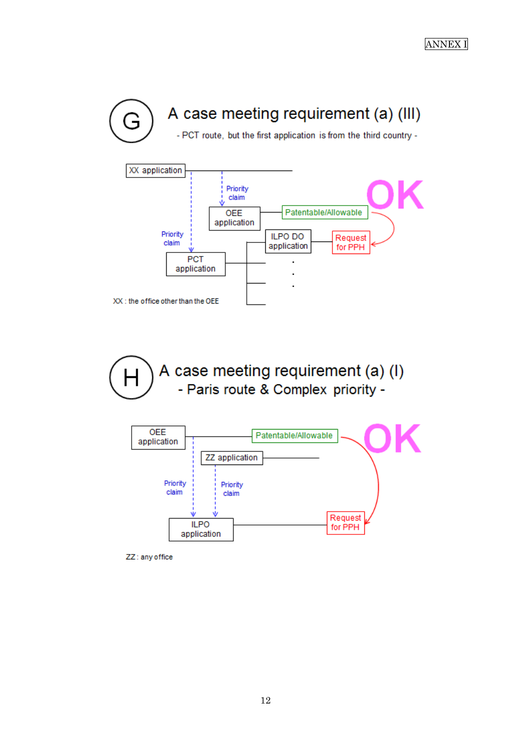



A case meeting requirement (a) (I) Н - Paris route & Complex priority -



ZZ: any office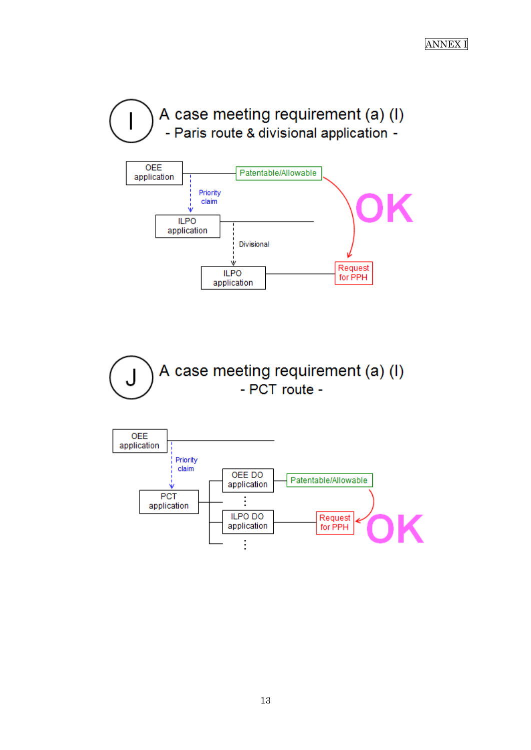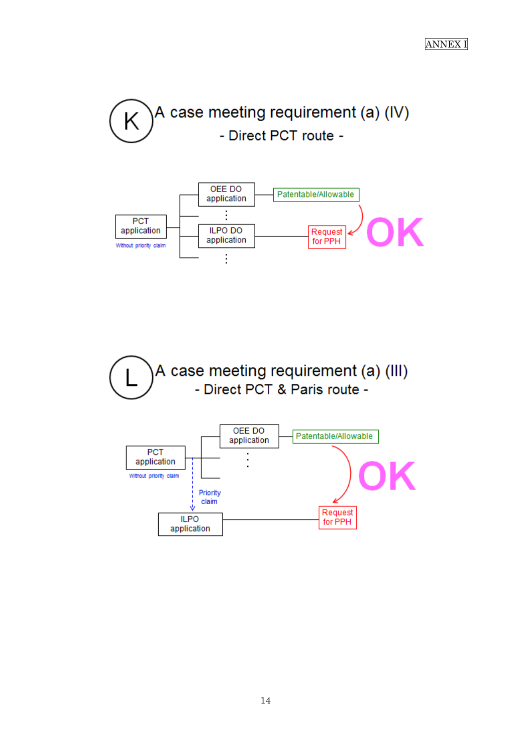





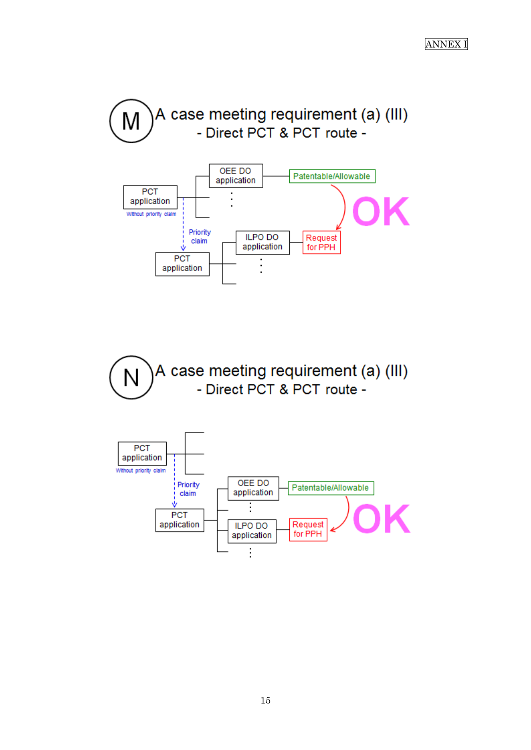





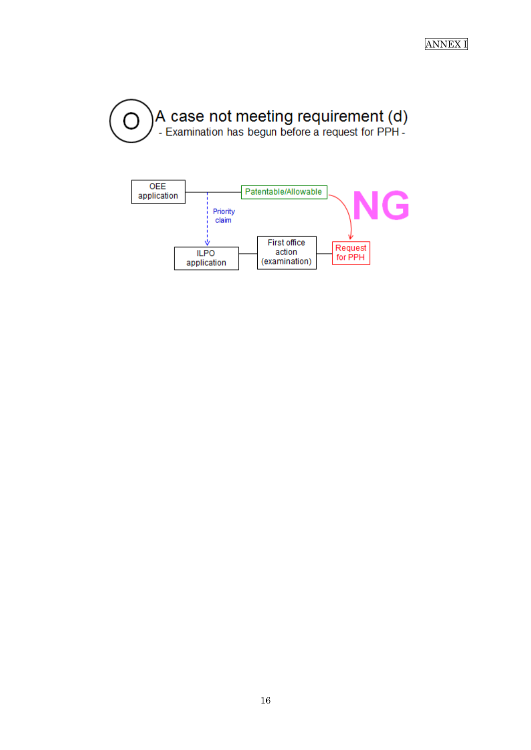

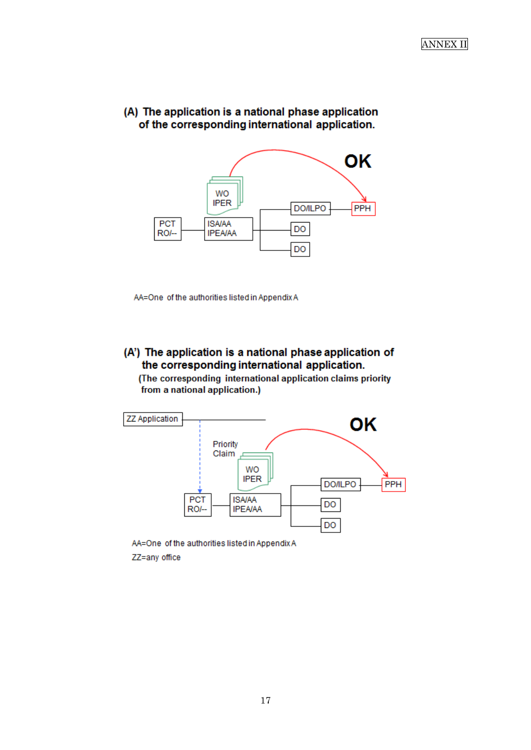



AA=One of the authorities listed in Appendix A

### (A') The application is a national phase application of the corresponding international application.

(The corresponding international application claims priority from a national application.)



ZZ=any office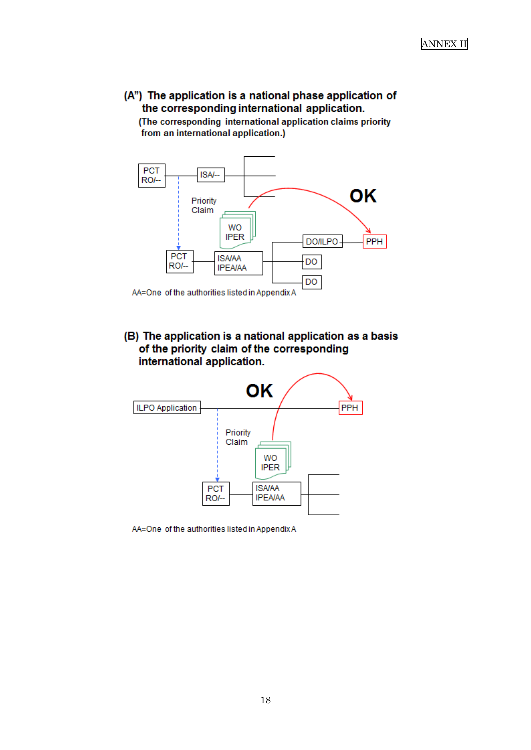## (A") The application is a national phase application of the corresponding international application.

(The corresponding international application claims priority from an international application.)



(B) The application is a national application as a basis of the priority claim of the corresponding international application.



AA=One of the authorities listed in Appendix A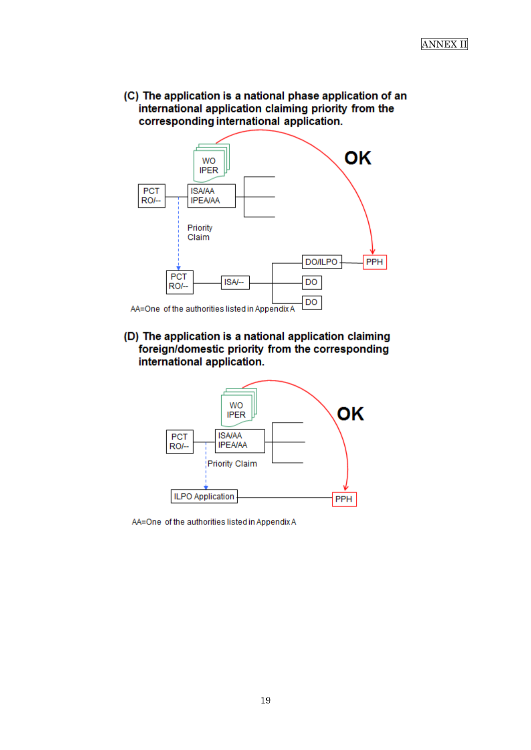(C) The application is a national phase application of an international application claiming priority from the corresponding international application.



(D) The application is a national application claiming foreign/domestic priority from the corresponding international application.



AA=One of the authorities listed in Appendix A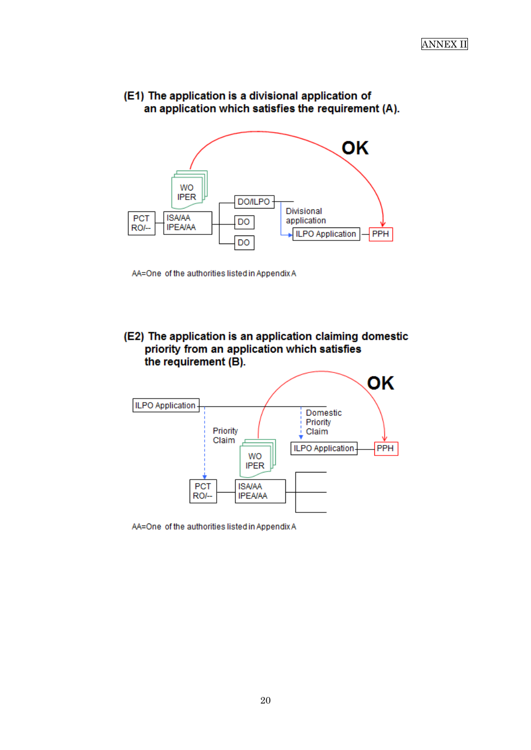



AA=One of the authorities listed in Appendix A

(E2) The application is an application claiming domestic priority from an application which satisfies the requirement (B).



AA=One of the authorities listed in Appendix A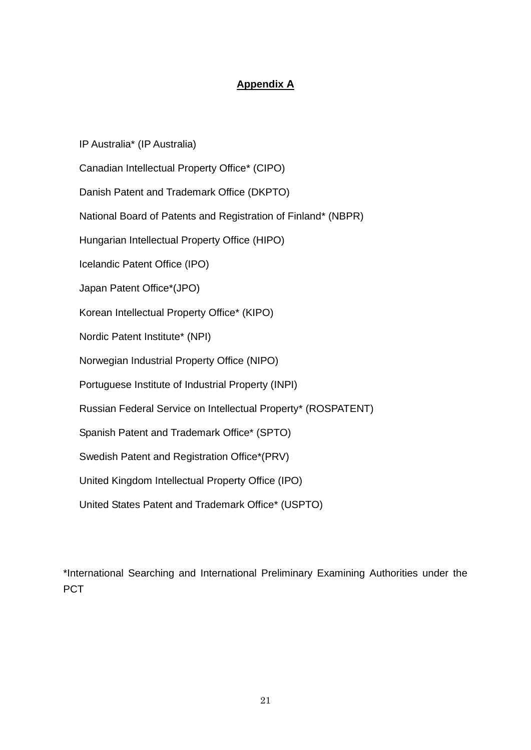### **Appendix A**

IP Australia\* (IP Australia) Canadian Intellectual Property Office\* (CIPO) Danish Patent and Trademark Office (DKPTO) National Board of Patents and Registration of Finland\* (NBPR) Hungarian Intellectual Property Office (HIPO) Icelandic Patent Office (IPO) Japan Patent Office\*(JPO) Korean Intellectual Property Office\* (KIPO) Nordic Patent Institute\* (NPI) Norwegian Industrial Property Office (NIPO) Portuguese Institute of Industrial Property (INPI) Russian Federal Service on Intellectual Property\* (ROSPATENT) Spanish Patent and Trademark Office\* (SPTO) Swedish Patent and Registration Office\*(PRV) United Kingdom Intellectual Property Office (IPO) United States Patent and Trademark Office\* (USPTO)

\*International Searching and International Preliminary Examining Authorities under the **PCT**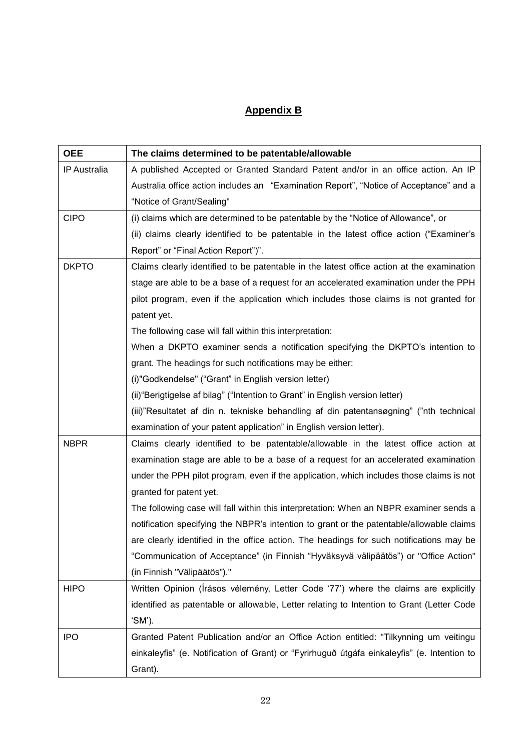# **Appendix B**

| <b>OEE</b>          | The claims determined to be patentable/allowable                                            |
|---------------------|---------------------------------------------------------------------------------------------|
| <b>IP Australia</b> | A published Accepted or Granted Standard Patent and/or in an office action. An IP           |
|                     | Australia office action includes an "Examination Report", "Notice of Acceptance" and a      |
|                     | "Notice of Grant/Sealing"                                                                   |
| <b>CIPO</b>         | (i) claims which are determined to be patentable by the "Notice of Allowance", or           |
|                     | (ii) claims clearly identified to be patentable in the latest office action ("Examiner's    |
|                     | Report" or "Final Action Report")".                                                         |
| <b>DKPTO</b>        | Claims clearly identified to be patentable in the latest office action at the examination   |
|                     | stage are able to be a base of a request for an accelerated examination under the PPH       |
|                     | pilot program, even if the application which includes those claims is not granted for       |
|                     | patent yet.                                                                                 |
|                     | The following case will fall within this interpretation:                                    |
|                     | When a DKPTO examiner sends a notification specifying the DKPTO's intention to              |
|                     | grant. The headings for such notifications may be either:                                   |
|                     | (i)"Godkendelse" ("Grant" in English version letter)                                        |
|                     | (ii) "Berigtigelse af bilag" ("Intention to Grant" in English version letter)               |
|                     | (iii)"Resultatet af din n. tekniske behandling af din patentansøgning" ("nth technical      |
|                     | examination of your patent application" in English version letter).                         |
| <b>NBPR</b>         | Claims clearly identified to be patentable/allowable in the latest office action at         |
|                     | examination stage are able to be a base of a request for an accelerated examination         |
|                     | under the PPH pilot program, even if the application, which includes those claims is not    |
|                     | granted for patent yet.                                                                     |
|                     | The following case will fall within this interpretation: When an NBPR examiner sends a      |
|                     | notification specifying the NBPR's intention to grant or the patentable/allowable claims    |
|                     | are clearly identified in the office action. The headings for such notifications may be     |
|                     | "Communication of Acceptance" (in Finnish "Hyväksyvä välipäätös") or "Office Action"        |
|                     | (in Finnish "Välipäätös")."                                                                 |
| <b>HIPO</b>         | Written Opinion (Írásos vélemény, Letter Code '77') where the claims are explicitly         |
|                     | identified as patentable or allowable, Letter relating to Intention to Grant (Letter Code   |
|                     | 'SM').                                                                                      |
| <b>IPO</b>          | Granted Patent Publication and/or an Office Action entitled: "Tilkynning um veitingu        |
|                     | einkaleyfis" (e. Notification of Grant) or "Fyrirhuguð útgáfa einkaleyfis" (e. Intention to |
|                     | Grant).                                                                                     |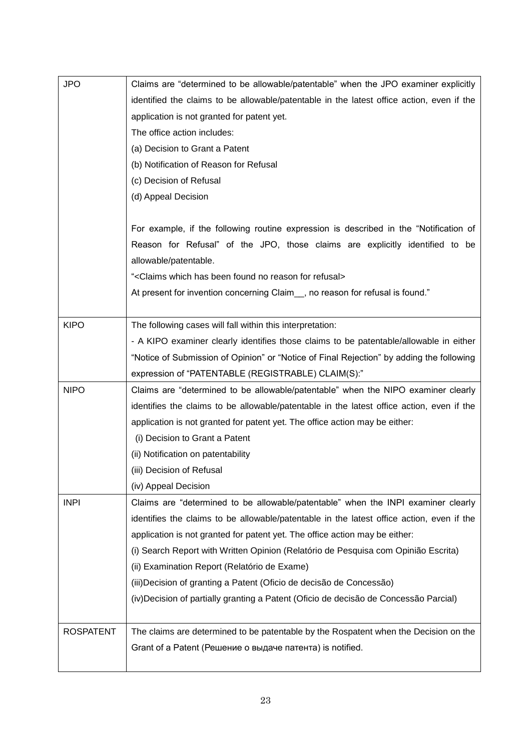| <b>JPO</b>       | Claims are "determined to be allowable/patentable" when the JPO examiner explicitly       |
|------------------|-------------------------------------------------------------------------------------------|
|                  | identified the claims to be allowable/patentable in the latest office action, even if the |
|                  | application is not granted for patent yet.                                                |
|                  | The office action includes:                                                               |
|                  | (a) Decision to Grant a Patent                                                            |
|                  | (b) Notification of Reason for Refusal                                                    |
|                  | (c) Decision of Refusal                                                                   |
|                  | (d) Appeal Decision                                                                       |
|                  |                                                                                           |
|                  | For example, if the following routine expression is described in the "Notification of     |
|                  | Reason for Refusal" of the JPO, those claims are explicitly identified to be              |
|                  | allowable/patentable.                                                                     |
|                  | " <claims been="" for="" found="" has="" no="" reason="" refusal="" which=""></claims>    |
|                  | At present for invention concerning Claim_, no reason for refusal is found."              |
|                  |                                                                                           |
| <b>KIPO</b>      | The following cases will fall within this interpretation:                                 |
|                  | - A KIPO examiner clearly identifies those claims to be patentable/allowable in either    |
|                  | "Notice of Submission of Opinion" or "Notice of Final Rejection" by adding the following  |
|                  | expression of "PATENTABLE (REGISTRABLE) CLAIM(S):"                                        |
| <b>NIPO</b>      | Claims are "determined to be allowable/patentable" when the NIPO examiner clearly         |
|                  | identifies the claims to be allowable/patentable in the latest office action, even if the |
|                  | application is not granted for patent yet. The office action may be either:               |
|                  | (i) Decision to Grant a Patent                                                            |
|                  | (ii) Notification on patentability                                                        |
|                  | (iii) Decision of Refusal                                                                 |
|                  | (iv) Appeal Decision                                                                      |
| <b>INPI</b>      | Claims are "determined to be allowable/patentable" when the INPI examiner clearly         |
|                  | identifies the claims to be allowable/patentable in the latest office action, even if the |
|                  | application is not granted for patent yet. The office action may be either:               |
|                  | (i) Search Report with Written Opinion (Relatório de Pesquisa com Opinião Escrita)        |
|                  | (ii) Examination Report (Relatório de Exame)                                              |
|                  | (iii) Decision of granting a Patent (Oficio de decisão de Concessão)                      |
|                  | (iv)Decision of partially granting a Patent (Oficio de decisão de Concessão Parcial)      |
|                  |                                                                                           |
|                  |                                                                                           |
| <b>ROSPATENT</b> | The claims are determined to be patentable by the Rospatent when the Decision on the      |
|                  | Grant of a Patent (Решение о выдаче патента) is notified.                                 |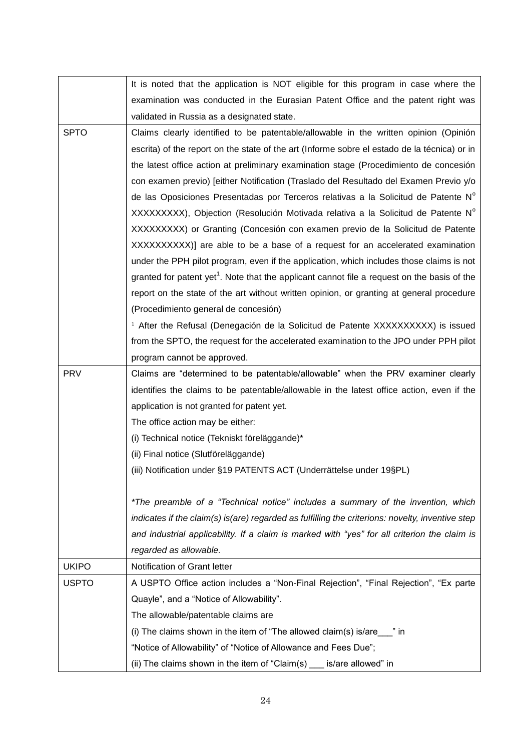|              | It is noted that the application is NOT eligible for this program in case where the                     |
|--------------|---------------------------------------------------------------------------------------------------------|
|              | examination was conducted in the Eurasian Patent Office and the patent right was                        |
|              | validated in Russia as a designated state.                                                              |
| <b>SPTO</b>  | Claims clearly identified to be patentable/allowable in the written opinion (Opinión                    |
|              | escrita) of the report on the state of the art (Informe sobre el estado de la técnica) or in            |
|              | the latest office action at preliminary examination stage (Procedimiento de concesión                   |
|              | con examen previo) [either Notification (Traslado del Resultado del Examen Previo y/o                   |
|              | de las Oposiciones Presentadas por Terceros relativas a la Solicitud de Patente N°                      |
|              | XXXXXXXXX), Objection (Resolución Motivada relativa a la Solicitud de Patente N°                        |
|              | XXXXXXXXX) or Granting (Concesión con examen previo de la Solicitud de Patente                          |
|              | XXXXXXXXXX)] are able to be a base of a request for an accelerated examination                          |
|              | under the PPH pilot program, even if the application, which includes those claims is not                |
|              | granted for patent yet <sup>1</sup> . Note that the applicant cannot file a request on the basis of the |
|              | report on the state of the art without written opinion, or granting at general procedure                |
|              | (Procedimiento general de concesión)                                                                    |
|              | <sup>1</sup> After the Refusal (Denegación de la Solicitud de Patente XXXXXXXXXX) is issued             |
|              | from the SPTO, the request for the accelerated examination to the JPO under PPH pilot                   |
|              | program cannot be approved.                                                                             |
| <b>PRV</b>   | Claims are "determined to be patentable/allowable" when the PRV examiner clearly                        |
|              | identifies the claims to be patentable/allowable in the latest office action, even if the               |
|              | application is not granted for patent yet.                                                              |
|              | The office action may be either:                                                                        |
|              | (i) Technical notice (Tekniskt föreläggande)*                                                           |
|              | (ii) Final notice (Slutföreläggande)                                                                    |
|              | (iii) Notification under §19 PATENTS ACT (Underrättelse under 19§PL)                                    |
|              |                                                                                                         |
|              | *The preamble of a "Technical notice" includes a summary of the invention, which                        |
|              | indicates if the claim(s) is(are) regarded as fulfilling the criterions: novelty, inventive step        |
|              | and industrial applicability. If a claim is marked with "yes" for all criterion the claim is            |
|              | regarded as allowable.                                                                                  |
| <b>UKIPO</b> | Notification of Grant letter                                                                            |
| <b>USPTO</b> | A USPTO Office action includes a "Non-Final Rejection", "Final Rejection", "Ex parte                    |
|              | Quayle", and a "Notice of Allowability".                                                                |
|              | The allowable/patentable claims are                                                                     |
|              | (i) The claims shown in the item of "The allowed claim(s) is/are $\frac{1}{2}$ " in                     |
|              | "Notice of Allowability" of "Notice of Allowance and Fees Due";                                         |
|              | (ii) The claims shown in the item of "Claim(s) $\frac{1}{\sqrt{2}}$ is/are allowed" in                  |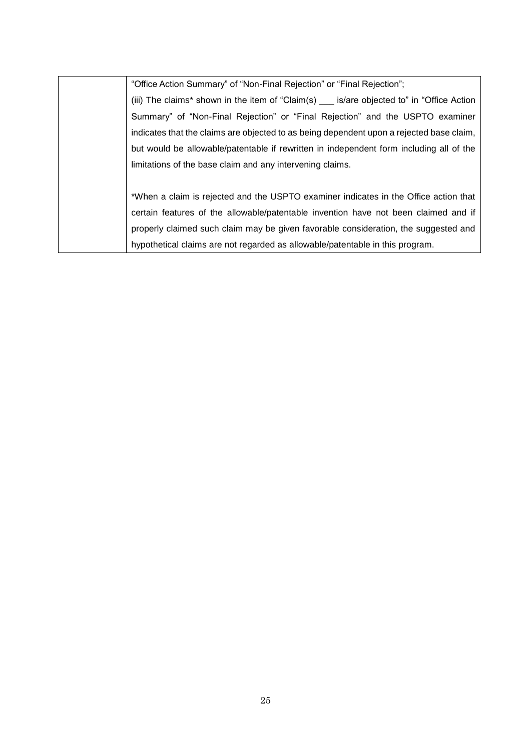"Office Action Summary" of "Non-Final Rejection" or "Final Rejection";

(iii) The claims\* shown in the item of "Claim(s) \_\_\_ is/are objected to" in "Office Action Summary" of "Non-Final Rejection" or "Final Rejection" and the USPTO examiner indicates that the claims are objected to as being dependent upon a rejected base claim, but would be allowable/patentable if rewritten in independent form including all of the limitations of the base claim and any intervening claims.

\*When a claim is rejected and the USPTO examiner indicates in the Office action that certain features of the allowable/patentable invention have not been claimed and if properly claimed such claim may be given favorable consideration, the suggested and hypothetical claims are not regarded as allowable/patentable in this program.